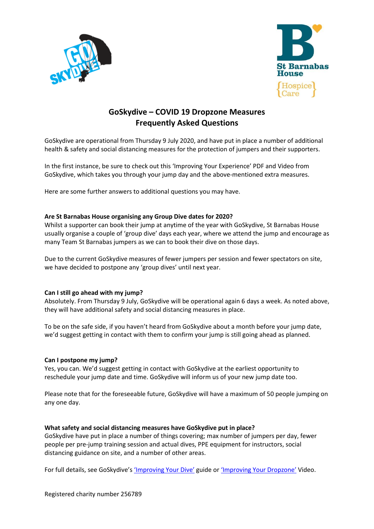



# **GoSkydive – COVID 19 Dropzone Measures Frequently Asked Questions**

GoSkydive are operational from Thursday 9 July 2020, and have put in place a number of additional health & safety and social distancing measures for the protection of jumpers and their supporters.

In the first instance, be sure to check out this 'Improving Your Experience' PDF and Video from GoSkydive, which takes you through your jump day and the above-mentioned extra measures.

Here are some further answers to additional questions you may have.

# **Are St Barnabas House organising any Group Dive dates for 2020?**

Whilst a supporter can book their jump at anytime of the year with GoSkydive, St Barnabas House usually organise a couple of 'group dive' days each year, where we attend the jump and encourage as many Team St Barnabas jumpers as we can to book their dive on those days.

Due to the current GoSkydive measures of fewer jumpers per session and fewer spectators on site, we have decided to postpone any 'group dives' until next year.

# **Can I still go ahead with my jump?**

Absolutely. From Thursday 9 July, GoSkydive will be operational again 6 days a week. As noted above, they will have additional safety and social distancing measures in place.

To be on the safe side, if you haven't heard from GoSkydive about a month before your jump date, we'd suggest getting in contact with them to confirm your jump is still going ahead as planned.

### **Can I postpone my jump?**

Yes, you can. We'd suggest getting in contact with GoSkydive at the earliest opportunity to reschedule your jump date and time. GoSkydive will inform us of your new jump date too.

Please note that for the foreseeable future, GoSkydive will have a maximum of 50 people jumping on any one day.

#### **What safety and social distancing measures have GoSkydive put in place?**

GoSkydive have put in place a number of things covering; max number of jumpers per day, fewer people per pre-jump training session and actual dives, PPE equipment for instructors, social distancing guidance on site, and a number of other areas.

For full details, see GoSkydive's ['Improving Your](https://www.chestnut-tree-house.org.uk/wp-content/uploads/2020/07/GoSkydive_COVID-Dropzone-Measures.pdf) Dive' guide or 'Improvi[ng Your Dropzone](https://www.goskydive.com/weve-been-very-busy-here-at-goskydive/)' Video.